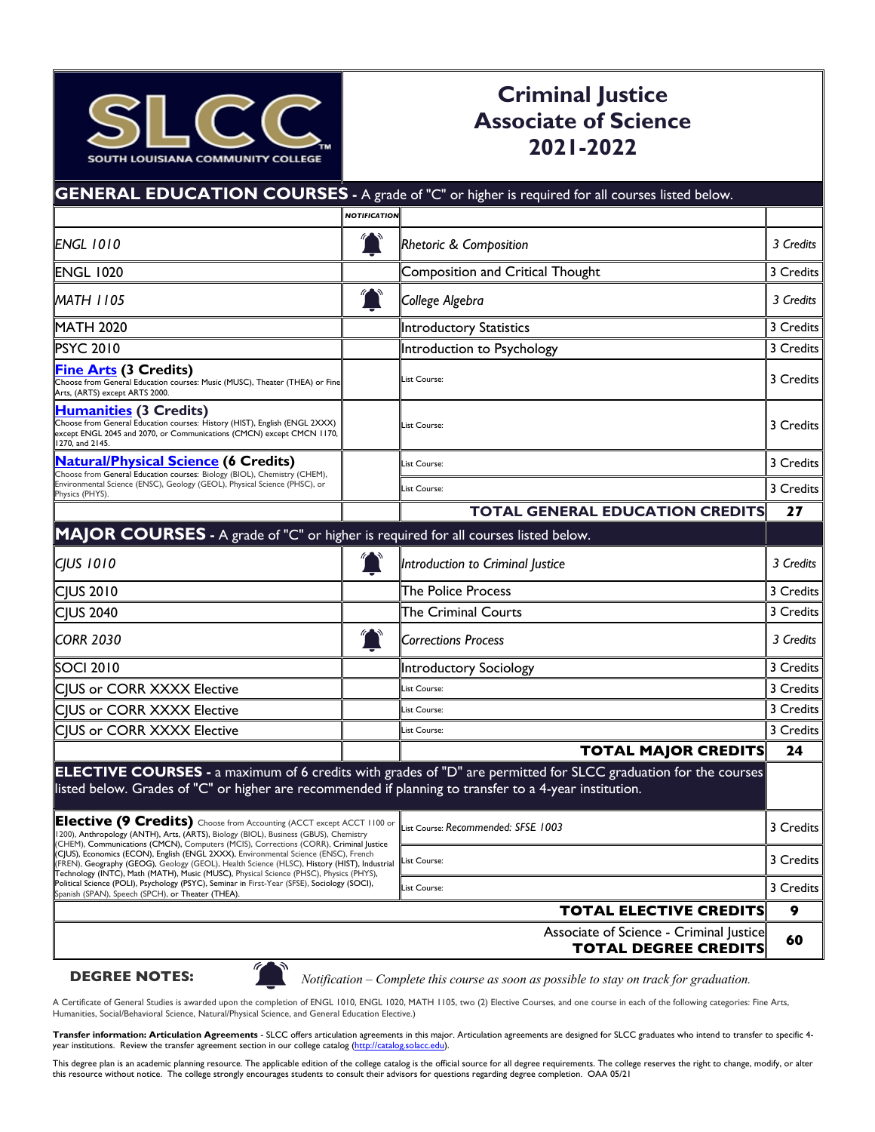

## **Criminal Justice Associate of Science 2021-2022**

|                                                                                                                                                                                                                                                                                                                                                                                                                                                                                                                                                                                                                                                                                                                                |                     | <b>GENERAL EDUCATION COURSES</b> - A grade of "C" or higher is required for all courses listed below.                 |           |
|--------------------------------------------------------------------------------------------------------------------------------------------------------------------------------------------------------------------------------------------------------------------------------------------------------------------------------------------------------------------------------------------------------------------------------------------------------------------------------------------------------------------------------------------------------------------------------------------------------------------------------------------------------------------------------------------------------------------------------|---------------------|-----------------------------------------------------------------------------------------------------------------------|-----------|
|                                                                                                                                                                                                                                                                                                                                                                                                                                                                                                                                                                                                                                                                                                                                | <b>NOTIFICATION</b> |                                                                                                                       |           |
| <b>ENGL 1010</b>                                                                                                                                                                                                                                                                                                                                                                                                                                                                                                                                                                                                                                                                                                               |                     | <b>Rhetoric &amp; Composition</b>                                                                                     | 3 Credits |
| <b>ENGL 1020</b>                                                                                                                                                                                                                                                                                                                                                                                                                                                                                                                                                                                                                                                                                                               |                     | Composition and Critical Thought                                                                                      | 3 Credits |
| <b>MATH 1105</b>                                                                                                                                                                                                                                                                                                                                                                                                                                                                                                                                                                                                                                                                                                               | $\mathbf{L}$        | College Algebra                                                                                                       | 3 Credits |
| <b>MATH 2020</b>                                                                                                                                                                                                                                                                                                                                                                                                                                                                                                                                                                                                                                                                                                               |                     | <b>Introductory Statistics</b>                                                                                        | 3 Credits |
| <b>PSYC 2010</b>                                                                                                                                                                                                                                                                                                                                                                                                                                                                                                                                                                                                                                                                                                               |                     | Introduction to Psychology                                                                                            | 3 Credits |
| <b>Fine Arts (3 Credits)</b><br>Choose from General Education courses: Music (MUSC), Theater (THEA) or Fine<br>Arts, (ARTS) except ARTS 2000.                                                                                                                                                                                                                                                                                                                                                                                                                                                                                                                                                                                  |                     | List Course:                                                                                                          | 3 Credits |
| <b>Humanities (3 Credits)</b><br>Choose from General Education courses: History (HIST), English (ENGL 2XXX)<br>except ENGL 2045 and 2070, or Communications (CMCN) except CMCN 1170,<br>1270, and 2145.                                                                                                                                                                                                                                                                                                                                                                                                                                                                                                                        |                     | List Course:                                                                                                          | 3 Credits |
| <b>Natural/Physical Science (6 Credits)</b>                                                                                                                                                                                                                                                                                                                                                                                                                                                                                                                                                                                                                                                                                    |                     | List Course:                                                                                                          | 3 Credits |
| Choose from General Education courses: Biology (BIOL), Chemistry (CHEM),<br>Environmental Science (ENSC), Geology (GEOL), Physical Science (PHSC), or<br>Physics (PHYS).                                                                                                                                                                                                                                                                                                                                                                                                                                                                                                                                                       |                     | List Course:                                                                                                          | 3 Credits |
|                                                                                                                                                                                                                                                                                                                                                                                                                                                                                                                                                                                                                                                                                                                                |                     | <b>TOTAL GENERAL EDUCATION CREDITS</b>                                                                                | 27        |
| MAJOR COURSES - A grade of "C" or higher is required for all courses listed below.                                                                                                                                                                                                                                                                                                                                                                                                                                                                                                                                                                                                                                             |                     |                                                                                                                       |           |
| <b>CJUS 1010</b>                                                                                                                                                                                                                                                                                                                                                                                                                                                                                                                                                                                                                                                                                                               |                     | Introduction to Criminal Justice                                                                                      | 3 Credits |
| <b>CIUS 2010</b>                                                                                                                                                                                                                                                                                                                                                                                                                                                                                                                                                                                                                                                                                                               |                     | The Police Process                                                                                                    | 3 Credits |
| <b>CJUS 2040</b>                                                                                                                                                                                                                                                                                                                                                                                                                                                                                                                                                                                                                                                                                                               |                     | <b>The Criminal Courts</b>                                                                                            | 3 Credits |
| <b>CORR 2030</b>                                                                                                                                                                                                                                                                                                                                                                                                                                                                                                                                                                                                                                                                                                               |                     | <b>Corrections Process</b>                                                                                            | 3 Credits |
| <b>SOCI 2010</b>                                                                                                                                                                                                                                                                                                                                                                                                                                                                                                                                                                                                                                                                                                               |                     | Introductory Sociology                                                                                                | 3 Credits |
| CJUS or CORR XXXX Elective                                                                                                                                                                                                                                                                                                                                                                                                                                                                                                                                                                                                                                                                                                     |                     | List Course:                                                                                                          | 3 Credits |
| CJUS or CORR XXXX Elective                                                                                                                                                                                                                                                                                                                                                                                                                                                                                                                                                                                                                                                                                                     |                     | List Course:                                                                                                          | 3 Credits |
| CJUS or CORR XXXX Elective                                                                                                                                                                                                                                                                                                                                                                                                                                                                                                                                                                                                                                                                                                     |                     | List Course:                                                                                                          | 3 Credits |
|                                                                                                                                                                                                                                                                                                                                                                                                                                                                                                                                                                                                                                                                                                                                |                     | <b>TOTAL MAJOR CREDITS</b>                                                                                            | 24        |
| listed below. Grades of "C" or higher are recommended if planning to transfer to a 4-year institution.                                                                                                                                                                                                                                                                                                                                                                                                                                                                                                                                                                                                                         |                     | <b>ELECTIVE COURSES</b> - a maximum of 6 credits with grades of "D" are permitted for SLCC graduation for the courses |           |
| Elective (9 Credits) Choose from Accounting (ACCT except ACCT 1100 or List Course: Recommended: SFSE 1003<br>1200), Anthropology (ANTH), Arts, (ARTS), Biology (BIOL), Business (GBUS), Chemistry<br>CHEM), Communications (CMCN), Computers (MCIS), Corrections (CORR), Criminal Justice<br>(CJUS), Economics (ECON), English (ENGL 2XXX), Environmental Science (ENSC), French<br>(FREN), Geography (GEOG), Geology (GEOL), Health Science (HLSC), History (HIST), Industrial<br>Technology (INTC), Math (MATH), Music (MUSC), Physical Science (PHSC), Physics (PHYS),<br>Political Science (POLI), Psychology (PSYC), Seminar in First-Year (SFSE), Sociology (SOCI),<br>Spanish (SPAN), Speech (SPCH), or Theater (THEA). |                     |                                                                                                                       | 3 Credits |
|                                                                                                                                                                                                                                                                                                                                                                                                                                                                                                                                                                                                                                                                                                                                |                     | List Course:                                                                                                          | 3 Credits |
|                                                                                                                                                                                                                                                                                                                                                                                                                                                                                                                                                                                                                                                                                                                                |                     | List Course:                                                                                                          | 3 Credits |
|                                                                                                                                                                                                                                                                                                                                                                                                                                                                                                                                                                                                                                                                                                                                |                     | <b>TOTAL ELECTIVE CREDITS</b>                                                                                         | 9         |
|                                                                                                                                                                                                                                                                                                                                                                                                                                                                                                                                                                                                                                                                                                                                |                     | Associate of Science - Criminal Justice<br><b>TOTAL DEGREE CREDITS</b>                                                | 60        |
| $\mathscr{C}$                                                                                                                                                                                                                                                                                                                                                                                                                                                                                                                                                                                                                                                                                                                  |                     |                                                                                                                       |           |

 **DEGREE NOTES:**



*Notification – Complete this course as soon as possible to stay on track for graduation.*

A Certificate of General Studies is awarded upon the completion of ENGL 1010, ENGL 1020, MATH 1105, two (2) Elective Courses, and one course in each of the following categories: Fine Arts, Humanities, Social/Behavioral Science, Natural/Physical Science, and General Education Elective.)

**Transfer information: Articulation Agreements** - SLCC offers articulation agreements in this major. Articulation agreements are designed for SLCC graduates who intend to transfer to specific 4-<br>year institutions. Review t

This degree plan is an academic planning resource. The applicable edition of the college catalog is the official source for all degree requirements. The college reserves the right to change, modify, or alter this resource without notice. The college strongly encourages students to consult their advisors for questions regarding degree completion. OAA 05/21